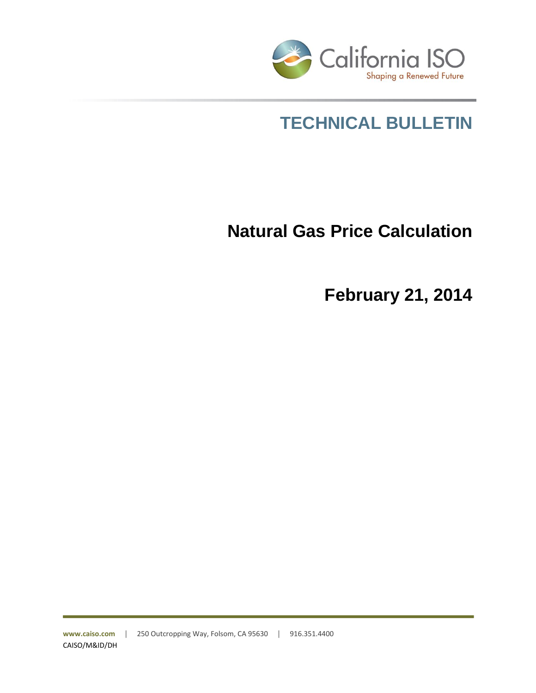

# **TECHNICAL BULLETIN**

# **Natural Gas Price Calculation**

**February 21, 2014**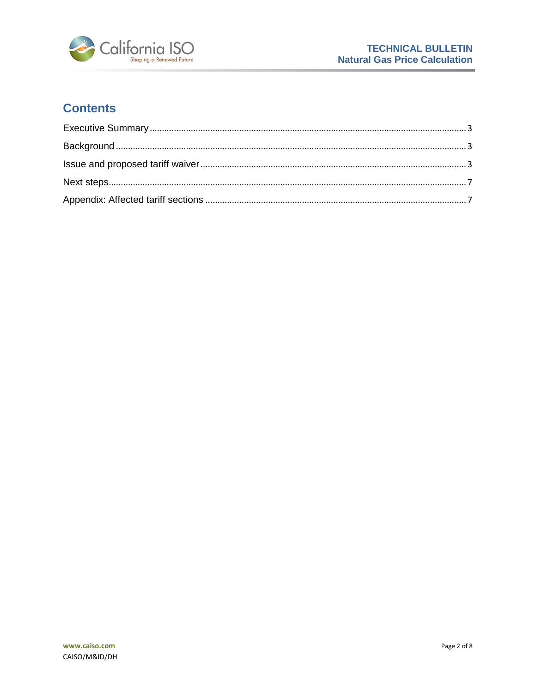

# **Contents**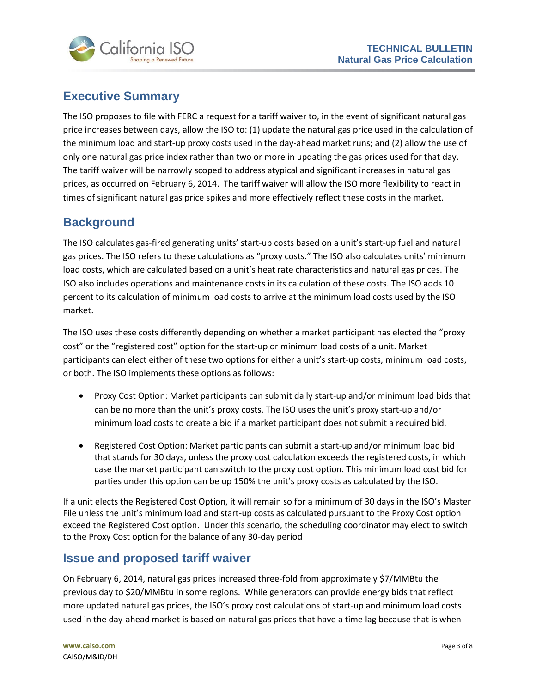



## <span id="page-2-0"></span>**Executive Summary**

The ISO proposes to file with FERC a request for a tariff waiver to, in the event of significant natural gas price increases between days, allow the ISO to: (1) update the natural gas price used in the calculation of the minimum load and start-up proxy costs used in the day-ahead market runs; and (2) allow the use of only one natural gas price index rather than two or more in updating the gas prices used for that day. The tariff waiver will be narrowly scoped to address atypical and significant increases in natural gas prices, as occurred on February 6, 2014. The tariff waiver will allow the ISO more flexibility to react in times of significant natural gas price spikes and more effectively reflect these costs in the market.

## <span id="page-2-1"></span>**Background**

The ISO calculates gas-fired generating units' start-up costs based on a unit's start-up fuel and natural gas prices. The ISO refers to these calculations as "proxy costs." The ISO also calculates units' minimum load costs, which are calculated based on a unit's heat rate characteristics and natural gas prices. The ISO also includes operations and maintenance costs in its calculation of these costs. The ISO adds 10 percent to its calculation of minimum load costs to arrive at the minimum load costs used by the ISO market.

The ISO uses these costs differently depending on whether a market participant has elected the "proxy cost" or the "registered cost" option for the start-up or minimum load costs of a unit. Market participants can elect either of these two options for either a unit's start-up costs, minimum load costs, or both. The ISO implements these options as follows:

- Proxy Cost Option: Market participants can submit daily start-up and/or minimum load bids that can be no more than the unit's proxy costs. The ISO uses the unit's proxy start-up and/or minimum load costs to create a bid if a market participant does not submit a required bid.
- Registered Cost Option: Market participants can submit a start-up and/or minimum load bid that stands for 30 days, unless the proxy cost calculation exceeds the registered costs, in which case the market participant can switch to the proxy cost option. This minimum load cost bid for parties under this option can be up 150% the unit's proxy costs as calculated by the ISO.

If a unit elects the Registered Cost Option, it will remain so for a minimum of 30 days in the ISO's Master File unless the unit's minimum load and start-up costs as calculated pursuant to the Proxy Cost option exceed the Registered Cost option. Under this scenario, the scheduling coordinator may elect to switch to the Proxy Cost option for the balance of any 30-day period

### <span id="page-2-2"></span>**Issue and proposed tariff waiver**

On February 6, 2014, natural gas prices increased three-fold from approximately \$7/MMBtu the previous day to \$20/MMBtu in some regions. While generators can provide energy bids that reflect more updated natural gas prices, the ISO's proxy cost calculations of start-up and minimum load costs used in the day-ahead market is based on natural gas prices that have a time lag because that is when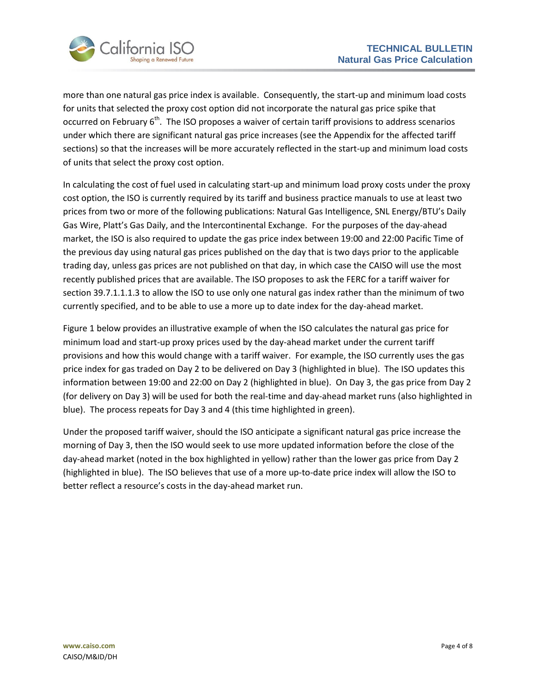

more than one natural gas price index is available. Consequently, the start-up and minimum load costs for units that selected the proxy cost option did not incorporate the natural gas price spike that occurred on February 6<sup>th</sup>. The ISO proposes a waiver of certain tariff provisions to address scenarios under which there are significant natural gas price increases (see the Appendix for the affected tariff sections) so that the increases will be more accurately reflected in the start-up and minimum load costs of units that select the proxy cost option.

In calculating the cost of fuel used in calculating start-up and minimum load proxy costs under the proxy cost option, the ISO is currently required by its tariff and business practice manuals to use at least two prices from two or more of the following publications: Natural Gas Intelligence, SNL Energy/BTU's Daily Gas Wire, Platt's Gas Daily, and the Intercontinental Exchange. For the purposes of the day-ahead market, the ISO is also required to update the gas price index between 19:00 and 22:00 Pacific Time of the previous day using natural gas prices published on the day that is two days prior to the applicable trading day, unless gas prices are not published on that day, in which case the CAISO will use the most recently published prices that are available. The ISO proposes to ask the FERC for a tariff waiver for section 39.7.1.1.1.3 to allow the ISO to use only one natural gas index rather than the minimum of two currently specified, and to be able to use a more up to date index for the day-ahead market.

Figure 1 below provides an illustrative example of when the ISO calculates the natural gas price for minimum load and start-up proxy prices used by the day-ahead market under the current tariff provisions and how this would change with a tariff waiver. For example, the ISO currently uses the gas price index for gas traded on Day 2 to be delivered on Day 3 (highlighted in blue). The ISO updates this information between 19:00 and 22:00 on Day 2 (highlighted in blue). On Day 3, the gas price from Day 2 (for delivery on Day 3) will be used for both the real-time and day-ahead market runs (also highlighted in blue). The process repeats for Day 3 and 4 (this time highlighted in green).

Under the proposed tariff waiver, should the ISO anticipate a significant natural gas price increase the morning of Day 3, then the ISO would seek to use more updated information before the close of the day-ahead market (noted in the box highlighted in yellow) rather than the lower gas price from Day 2 (highlighted in blue). The ISO believes that use of a more up-to-date price index will allow the ISO to better reflect a resource's costs in the day-ahead market run.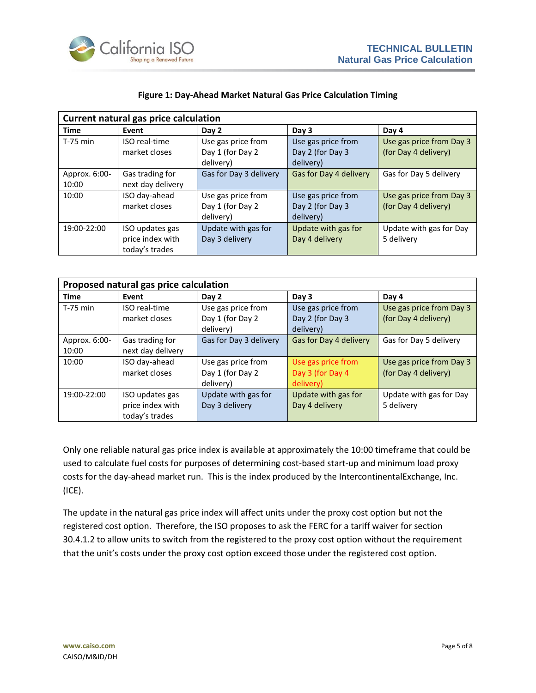

| Current natural gas price calculation |                                                       |                                                     |                                                     |                                                  |  |
|---------------------------------------|-------------------------------------------------------|-----------------------------------------------------|-----------------------------------------------------|--------------------------------------------------|--|
| <b>Time</b>                           | Event                                                 | Day 2                                               | Day 3                                               | Day 4                                            |  |
| T-75 min                              | <b>ISO</b> real-time<br>market closes                 | Use gas price from<br>Day 1 (for Day 2<br>delivery) | Use gas price from<br>Day 2 (for Day 3<br>delivery) | Use gas price from Day 3<br>(for Day 4 delivery) |  |
| Approx. 6:00-<br>10:00                | Gas trading for<br>next day delivery                  | Gas for Day 3 delivery                              | Gas for Day 4 delivery                              | Gas for Day 5 delivery                           |  |
| 10:00                                 | ISO day-ahead<br>market closes                        | Use gas price from<br>Day 1 (for Day 2<br>delivery) | Use gas price from<br>Day 2 (for Day 3<br>delivery) | Use gas price from Day 3<br>(for Day 4 delivery) |  |
| 19:00-22:00                           | ISO updates gas<br>price index with<br>today's trades | Update with gas for<br>Day 3 delivery               | Update with gas for<br>Day 4 delivery               | Update with gas for Day<br>5 delivery            |  |

#### **Figure 1: Day-Ahead Market Natural Gas Price Calculation Timing**

| Proposed natural gas price calculation |                                                       |                                                     |                                                     |                                                  |  |
|----------------------------------------|-------------------------------------------------------|-----------------------------------------------------|-----------------------------------------------------|--------------------------------------------------|--|
| <b>Time</b>                            | Event                                                 | Day 2                                               | Day 3                                               | Day 4                                            |  |
| $T-75$ min                             | <b>ISO</b> real-time<br>market closes                 | Use gas price from<br>Day 1 (for Day 2              | Use gas price from<br>Day 2 (for Day 3              | Use gas price from Day 3<br>(for Day 4 delivery) |  |
|                                        |                                                       | delivery)                                           | delivery)                                           |                                                  |  |
| Approx. 6:00-<br>10:00                 | Gas trading for<br>next day delivery                  | Gas for Day 3 delivery                              | Gas for Day 4 delivery                              | Gas for Day 5 delivery                           |  |
| 10:00                                  | ISO day-ahead<br>market closes                        | Use gas price from<br>Day 1 (for Day 2<br>delivery) | Use gas price from<br>Day 3 (for Day 4<br>delivery) | Use gas price from Day 3<br>(for Day 4 delivery) |  |
| 19:00-22:00                            | ISO updates gas<br>price index with<br>today's trades | Update with gas for<br>Day 3 delivery               | Update with gas for<br>Day 4 delivery               | Update with gas for Day<br>5 delivery            |  |

Only one reliable natural gas price index is available at approximately the 10:00 timeframe that could be used to calculate fuel costs for purposes of determining cost-based start-up and minimum load proxy costs for the day-ahead market run. This is the index produced by the IntercontinentalExchange, Inc. (ICE).

The update in the natural gas price index will affect units under the proxy cost option but not the registered cost option. Therefore, the ISO proposes to ask the FERC for a tariff waiver for section 30.4.1.2 to allow units to switch from the registered to the proxy cost option without the requirement that the unit's costs under the proxy cost option exceed those under the registered cost option.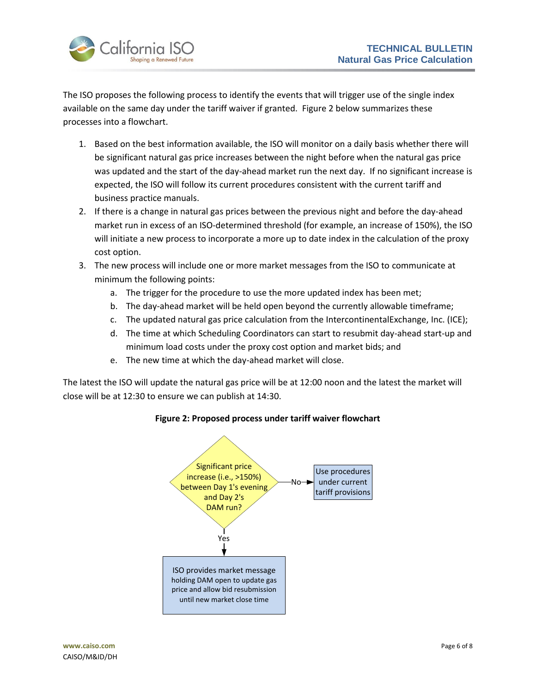

The ISO proposes the following process to identify the events that will trigger use of the single index available on the same day under the tariff waiver if granted. Figure 2 below summarizes these processes into a flowchart.

- 1. Based on the best information available, the ISO will monitor on a daily basis whether there will be significant natural gas price increases between the night before when the natural gas price was updated and the start of the day-ahead market run the next day. If no significant increase is expected, the ISO will follow its current procedures consistent with the current tariff and business practice manuals.
- 2. If there is a change in natural gas prices between the previous night and before the day-ahead market run in excess of an ISO-determined threshold (for example, an increase of 150%), the ISO will initiate a new process to incorporate a more up to date index in the calculation of the proxy cost option.
- 3. The new process will include one or more market messages from the ISO to communicate at minimum the following points:
	- a. The trigger for the procedure to use the more updated index has been met;
	- b. The day-ahead market will be held open beyond the currently allowable timeframe;
	- c. The updated natural gas price calculation from the IntercontinentalExchange, Inc. (ICE);
	- d. The time at which Scheduling Coordinators can start to resubmit day-ahead start-up and minimum load costs under the proxy cost option and market bids; and
	- e. The new time at which the day-ahead market will close.

The latest the ISO will update the natural gas price will be at 12:00 noon and the latest the market will close will be at 12:30 to ensure we can publish at 14:30.



#### **Figure 2: Proposed process under tariff waiver flowchart**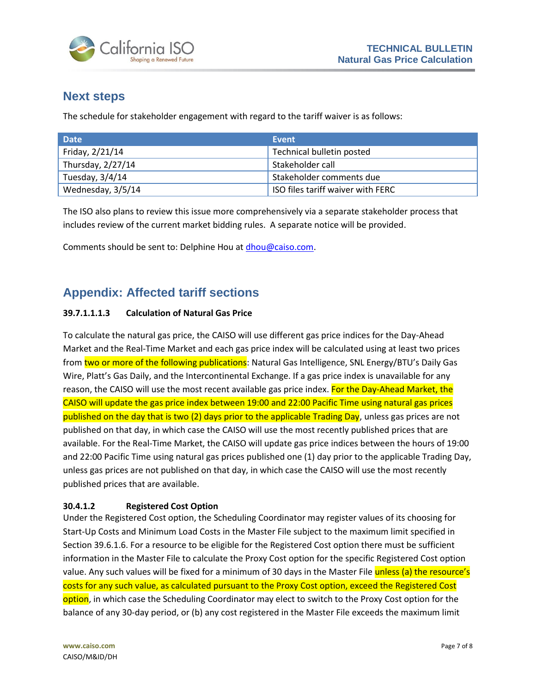

### <span id="page-6-0"></span>**Next steps**

The schedule for stakeholder engagement with regard to the tariff waiver is as follows:

| <b>Date</b>       | Event                             |
|-------------------|-----------------------------------|
| Friday, 2/21/14   | Technical bulletin posted         |
| Thursday, 2/27/14 | Stakeholder call                  |
| Tuesday, 3/4/14   | Stakeholder comments due          |
| Wednesday, 3/5/14 | ISO files tariff waiver with FERC |

The ISO also plans to review this issue more comprehensively via a separate stakeholder process that includes review of the current market bidding rules. A separate notice will be provided.

Comments should be sent to: Delphine Hou a[t dhou@caiso.com.](mailto:dhou@caiso.com)

## <span id="page-6-1"></span>**Appendix: Affected tariff sections**

#### **39.7.1.1.1.3 Calculation of Natural Gas Price**

To calculate the natural gas price, the CAISO will use different gas price indices for the Day-Ahead Market and the Real-Time Market and each gas price index will be calculated using at least two prices from two or more of the following publications: Natural Gas Intelligence, SNL Energy/BTU's Daily Gas Wire, Platt's Gas Daily, and the Intercontinental Exchange. If a gas price index is unavailable for any reason, the CAISO will use the most recent available gas price index. For the Day-Ahead Market, the CAISO will update the gas price index between 19:00 and 22:00 Pacific Time using natural gas prices published on the day that is two (2) days prior to the applicable Trading Day, unless gas prices are not published on that day, in which case the CAISO will use the most recently published prices that are available. For the Real-Time Market, the CAISO will update gas price indices between the hours of 19:00 and 22:00 Pacific Time using natural gas prices published one (1) day prior to the applicable Trading Day, unless gas prices are not published on that day, in which case the CAISO will use the most recently published prices that are available.

#### **30.4.1.2 Registered Cost Option**

Under the Registered Cost option, the Scheduling Coordinator may register values of its choosing for Start-Up Costs and Minimum Load Costs in the Master File subject to the maximum limit specified in Section 39.6.1.6. For a resource to be eligible for the Registered Cost option there must be sufficient information in the Master File to calculate the Proxy Cost option for the specific Registered Cost option value. Any such values will be fixed for a minimum of 30 days in the Master File unless (a) the resource's costs for any such value, as calculated pursuant to the Proxy Cost option, exceed the Registered Cost option, in which case the Scheduling Coordinator may elect to switch to the Proxy Cost option for the balance of any 30-day period, or (b) any cost registered in the Master File exceeds the maximum limit